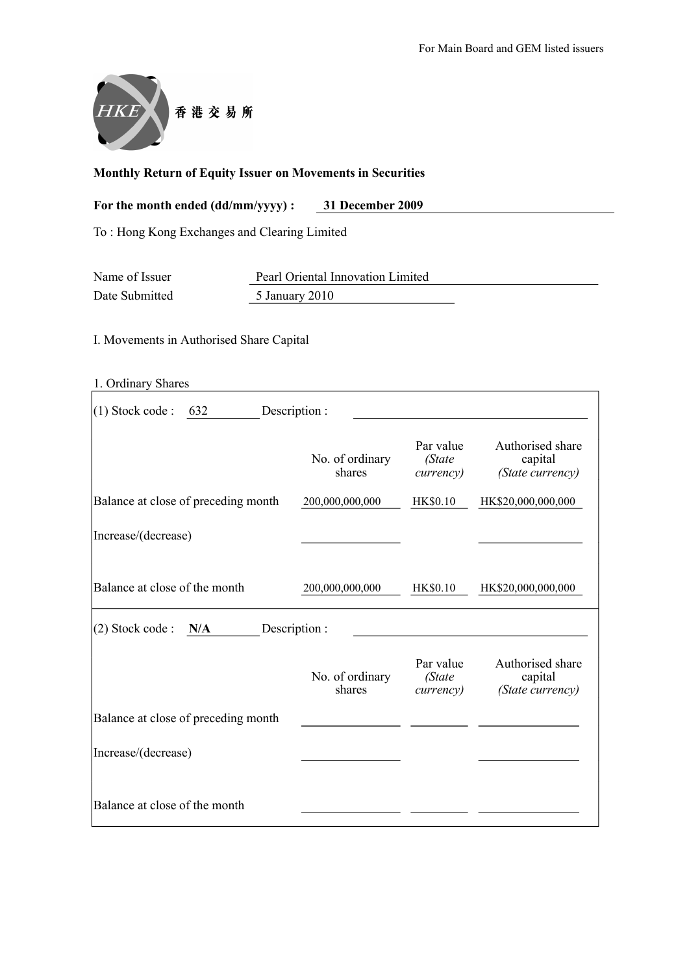

## Monthly Return of Equity Issuer on Movements in Securities

| For the month ended (dd/mm/yyyy) : | 31 December 2009 |
|------------------------------------|------------------|
|------------------------------------|------------------|

To : Hong Kong Exchanges and Clearing Limited

| Name of Issuer<br>Pearl Oriental Innovation Limited |                |  |
|-----------------------------------------------------|----------------|--|
| Date Submitted                                      | 5 January 2010 |  |

I. Movements in Authorised Share Capital

| 1. Ordinary Shares                        |                           |                                          |                                                 |  |  |  |  |
|-------------------------------------------|---------------------------|------------------------------------------|-------------------------------------------------|--|--|--|--|
| $(1)$ Stock code :<br>Description:<br>632 |                           |                                          |                                                 |  |  |  |  |
|                                           | No. of ordinary<br>shares | Par value<br>(State<br><i>currency</i> ) | Authorised share<br>capital<br>(State currency) |  |  |  |  |
| Balance at close of preceding month       | 200,000,000,000           | <b>HK\$0.10</b>                          | HK\$20,000,000,000                              |  |  |  |  |
| Increase/(decrease)                       |                           |                                          |                                                 |  |  |  |  |
| Balance at close of the month             | 200,000,000,000           | <b>HK\$0.10</b>                          | HK\$20,000,000,000                              |  |  |  |  |
| (2) Stock code :<br>N/A                   | Description:              |                                          |                                                 |  |  |  |  |
|                                           | No. of ordinary<br>shares | Par value<br>(State<br><i>currency</i> ) | Authorised share<br>capital<br>(State currency) |  |  |  |  |
| Balance at close of preceding month       |                           |                                          |                                                 |  |  |  |  |
| Increase/(decrease)                       |                           |                                          |                                                 |  |  |  |  |
| Balance at close of the month             |                           |                                          |                                                 |  |  |  |  |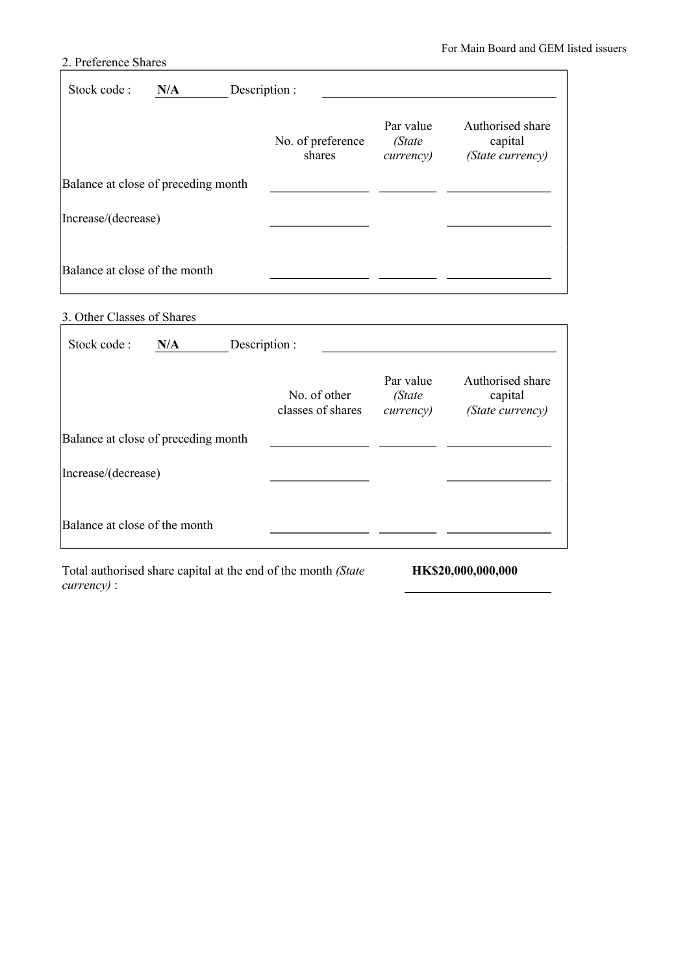## 2. Preference Shares

| Stock code:                         | N/A | Description :               |                                          |                                                 |
|-------------------------------------|-----|-----------------------------|------------------------------------------|-------------------------------------------------|
|                                     |     | No. of preference<br>shares | Par value<br>(State<br><i>currency</i> ) | Authorised share<br>capital<br>(State currency) |
| Balance at close of preceding month |     |                             |                                          |                                                 |
| Increase/(decrease)                 |     |                             |                                          |                                                 |
| Balance at close of the month       |     |                             |                                          |                                                 |

## 3. Other Classes of Shares

| Stock code:<br>N/A<br>Description : |                                   |                                          |                                                 |
|-------------------------------------|-----------------------------------|------------------------------------------|-------------------------------------------------|
|                                     | No. of other<br>classes of shares | Par value<br>(State<br><i>currency</i> ) | Authorised share<br>capital<br>(State currency) |
| Balance at close of preceding month |                                   |                                          |                                                 |
| Increase/(decrease)                 |                                   |                                          |                                                 |
| Balance at close of the month       |                                   |                                          |                                                 |

Total authorised share capital at the end of the month *(State currency)* : HK\$20,000,000,000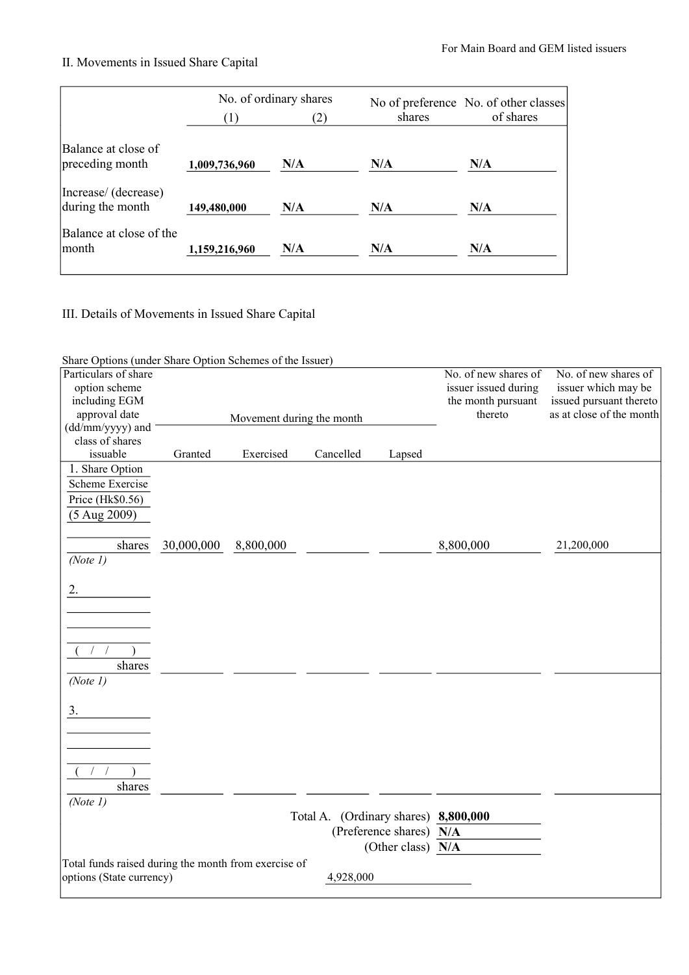## II. Movements in Issued Share Capital

|                                          | No. of ordinary shares<br>(1)<br>(2) |     | shares | No of preference No. of other classes<br>of shares |
|------------------------------------------|--------------------------------------|-----|--------|----------------------------------------------------|
| Balance at close of<br>preceding month   | 1,009,736,960                        | N/A | N/A    | N/A                                                |
| Increase/ (decrease)<br>during the month | 149,480,000                          | N/A | N/A    | N/A                                                |
| Balance at close of the<br>lmonth        | 1,159,216,960                        | N/A | N/A    | N/A                                                |

III. Details of Movements in Issued Share Capital

| Share Options (under Share Option Schemes of the Issuer) |            |                           |                                      |                         |                      |                          |
|----------------------------------------------------------|------------|---------------------------|--------------------------------------|-------------------------|----------------------|--------------------------|
| Particulars of share                                     |            |                           |                                      |                         | No. of new shares of | No. of new shares of     |
| option scheme                                            |            |                           |                                      |                         | issuer issued during | issuer which may be      |
| including EGM                                            |            |                           |                                      |                         | the month pursuant   | issued pursuant thereto  |
| approval date                                            |            | Movement during the month |                                      |                         | thereto              | as at close of the month |
| (dd/mm/yyyy) and                                         |            |                           |                                      |                         |                      |                          |
| class of shares                                          |            |                           |                                      |                         |                      |                          |
| issuable                                                 | Granted    | Exercised                 | Cancelled                            | Lapsed                  |                      |                          |
| 1. Share Option                                          |            |                           |                                      |                         |                      |                          |
| Scheme Exercise                                          |            |                           |                                      |                         |                      |                          |
| Price (Hk\$0.56)                                         |            |                           |                                      |                         |                      |                          |
| $(5$ Aug 2009)                                           |            |                           |                                      |                         |                      |                          |
|                                                          |            |                           |                                      |                         |                      |                          |
| shares                                                   | 30,000,000 | 8,800,000                 |                                      |                         | 8,800,000            | 21,200,000               |
| (Note 1)                                                 |            |                           |                                      |                         |                      |                          |
|                                                          |            |                           |                                      |                         |                      |                          |
| 2.                                                       |            |                           |                                      |                         |                      |                          |
|                                                          |            |                           |                                      |                         |                      |                          |
|                                                          |            |                           |                                      |                         |                      |                          |
|                                                          |            |                           |                                      |                         |                      |                          |
|                                                          |            |                           |                                      |                         |                      |                          |
| shares                                                   |            |                           |                                      |                         |                      |                          |
| (Note 1)                                                 |            |                           |                                      |                         |                      |                          |
|                                                          |            |                           |                                      |                         |                      |                          |
| 3.                                                       |            |                           |                                      |                         |                      |                          |
|                                                          |            |                           |                                      |                         |                      |                          |
|                                                          |            |                           |                                      |                         |                      |                          |
|                                                          |            |                           |                                      |                         |                      |                          |
|                                                          |            |                           |                                      |                         |                      |                          |
|                                                          |            |                           |                                      |                         |                      |                          |
| shares                                                   |            |                           |                                      |                         |                      |                          |
| (Note 1)                                                 |            |                           |                                      |                         |                      |                          |
|                                                          |            |                           | Total A. (Ordinary shares) 8,800,000 |                         |                      |                          |
|                                                          |            |                           |                                      | (Preference shares) N/A |                      |                          |
|                                                          |            |                           |                                      | (Other class) N/A       |                      |                          |
| Total funds raised during the month from exercise of     |            |                           |                                      |                         |                      |                          |
| options (State currency)                                 |            |                           | 4,928,000                            |                         |                      |                          |
|                                                          |            |                           |                                      |                         |                      |                          |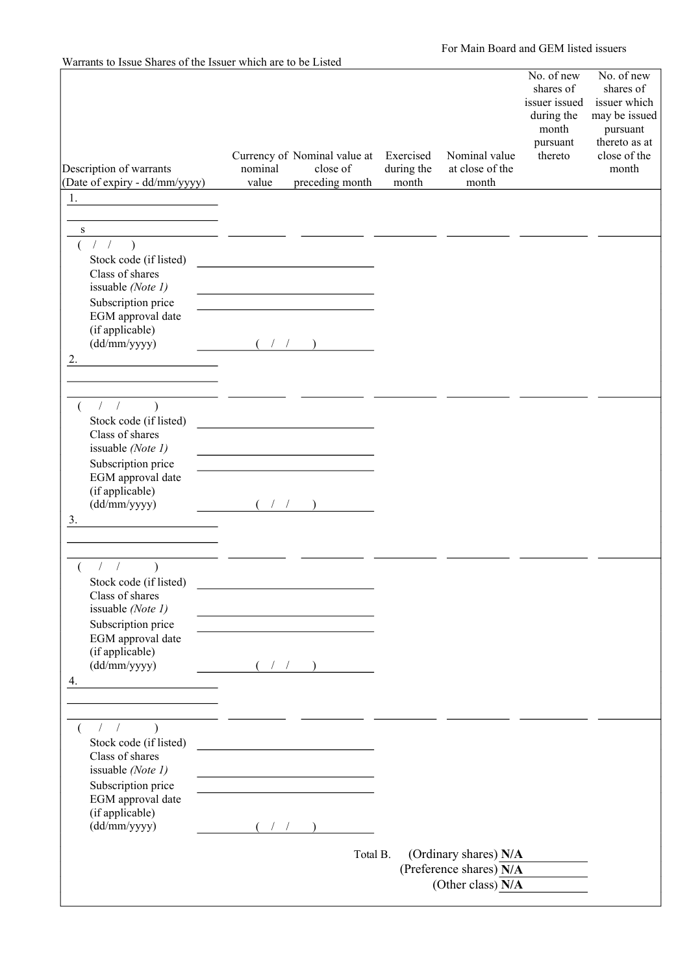| Description of warrants<br>(Date of expiry - dd/mm/yyyy)                   | Currency of Nominal value at<br>nominal<br>value            | close of<br>preceding month | Exercised<br>during the<br>month | Nominal value<br>at close of the<br>month                               | No. of new<br>shares of<br>issuer issued<br>during the<br>month<br>pursuant<br>thereto | No. of new<br>shares of<br>issuer which<br>may be issued<br>pursuant<br>thereto as at<br>close of the<br>month |
|----------------------------------------------------------------------------|-------------------------------------------------------------|-----------------------------|----------------------------------|-------------------------------------------------------------------------|----------------------------------------------------------------------------------------|----------------------------------------------------------------------------------------------------------------|
| 1.                                                                         |                                                             |                             |                                  |                                                                         |                                                                                        |                                                                                                                |
| $\, {\bf S}$                                                               |                                                             |                             |                                  |                                                                         |                                                                                        |                                                                                                                |
| 1/2<br>Stock code (if listed)<br>Class of shares<br>issuable (Note 1)      | the control of the control of the control of the control of |                             |                                  |                                                                         |                                                                                        |                                                                                                                |
| Subscription price<br>EGM approval date<br>(if applicable)<br>(dd/mm/yyyy) |                                                             |                             |                                  |                                                                         |                                                                                        |                                                                                                                |
| 2.                                                                         |                                                             |                             |                                  |                                                                         |                                                                                        |                                                                                                                |
| 1/<br>$\rightarrow$<br>€<br>Stock code (if listed)                         |                                                             |                             |                                  |                                                                         |                                                                                        |                                                                                                                |
| Class of shares<br>issuable (Note 1)                                       |                                                             |                             |                                  |                                                                         |                                                                                        |                                                                                                                |
| Subscription price                                                         |                                                             |                             |                                  |                                                                         |                                                                                        |                                                                                                                |
| EGM approval date<br>(if applicable)<br>(dd/mm/yyyy)                       |                                                             |                             |                                  |                                                                         |                                                                                        |                                                                                                                |
| 3.                                                                         |                                                             |                             |                                  |                                                                         |                                                                                        |                                                                                                                |
| $\mathcal{L}$                                                              |                                                             |                             |                                  |                                                                         |                                                                                        |                                                                                                                |
| Stock code (if listed)<br>Class of shares<br>issuable (Note 1)             |                                                             |                             |                                  |                                                                         |                                                                                        |                                                                                                                |
| Subscription price<br>EGM approval date<br>(if applicable)                 |                                                             |                             |                                  |                                                                         |                                                                                        |                                                                                                                |
| (dd/mm/yyyy)<br>4.                                                         | (1/2)                                                       |                             |                                  |                                                                         |                                                                                        |                                                                                                                |
| 1/                                                                         |                                                             |                             |                                  |                                                                         |                                                                                        |                                                                                                                |
| Stock code (if listed)<br>Class of shares<br>issuable (Note 1)             |                                                             |                             |                                  |                                                                         |                                                                                        |                                                                                                                |
| Subscription price<br>EGM approval date                                    |                                                             |                             |                                  |                                                                         |                                                                                        |                                                                                                                |
| (if applicable)<br>(dd/mm/yyyy)                                            | $($ / /                                                     |                             |                                  |                                                                         |                                                                                        |                                                                                                                |
|                                                                            |                                                             | Total B.                    |                                  | (Ordinary shares) N/A<br>(Preference shares) N/A<br>(Other class) $N/A$ |                                                                                        |                                                                                                                |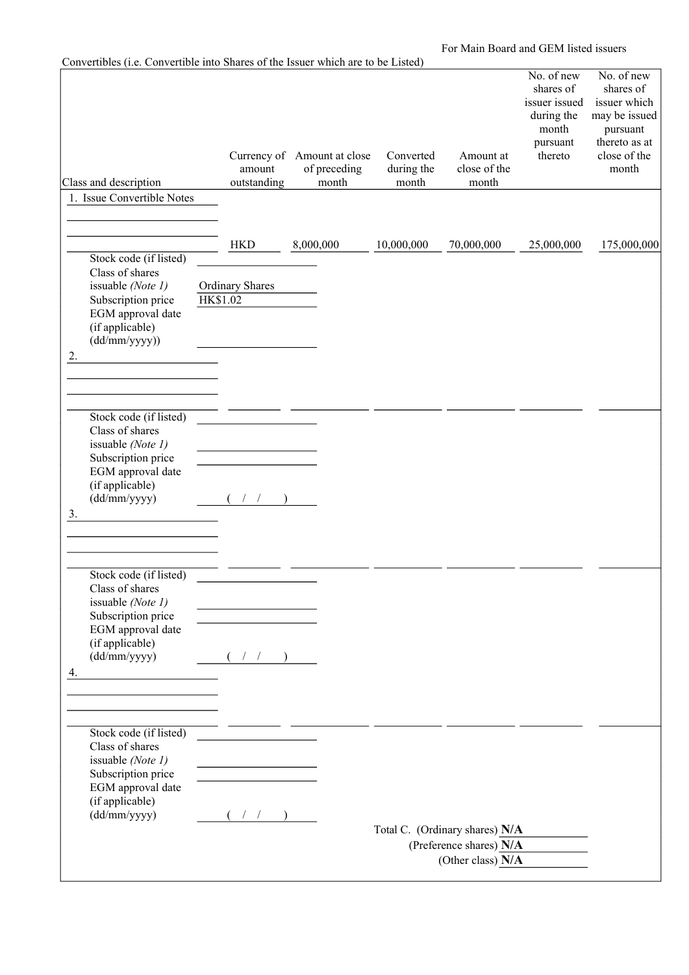For Main Board and GEM listed issuers

| Convertibles (i.e. Convertible into Shares of the Issuer which are to be Listed)                                                                            |                 |                                                      |           |                       |                                  |                                    |                                                                                        |                                                                                                                |
|-------------------------------------------------------------------------------------------------------------------------------------------------------------|-----------------|------------------------------------------------------|-----------|-----------------------|----------------------------------|------------------------------------|----------------------------------------------------------------------------------------|----------------------------------------------------------------------------------------------------------------|
| Class and description                                                                                                                                       |                 | Currency of Amount at close<br>amount<br>outstanding |           | of preceding<br>month | Converted<br>during the<br>month | Amount at<br>close of the<br>month | No. of new<br>shares of<br>issuer issued<br>during the<br>month<br>pursuant<br>thereto | No. of new<br>shares of<br>issuer which<br>may be issued<br>pursuant<br>thereto as at<br>close of the<br>month |
| 1. Issue Convertible Notes                                                                                                                                  |                 |                                                      |           |                       |                                  |                                    |                                                                                        |                                                                                                                |
| Stock code (if listed)<br>Class of shares<br>issuable (Note 1)<br>Subscription price<br>EGM approval date<br>(if applicable)<br>$(dd/\text{mm/yyyy})$<br>2. | <b>HK\$1.02</b> | <b>HKD</b><br><b>Ordinary Shares</b>                 | 8,000,000 |                       | 10,000,000                       | 70,000,000                         | 25,000,000                                                                             | 175,000,000                                                                                                    |
|                                                                                                                                                             |                 |                                                      |           |                       |                                  |                                    |                                                                                        |                                                                                                                |
|                                                                                                                                                             |                 |                                                      |           |                       |                                  |                                    |                                                                                        |                                                                                                                |
| Stock code (if listed)<br>Class of shares<br>issuable (Note 1)<br>Subscription price<br>EGM approval date<br>(if applicable)<br>(dd/mm/yyyy)<br>3.          |                 |                                                      |           |                       |                                  |                                    |                                                                                        |                                                                                                                |
|                                                                                                                                                             |                 |                                                      |           |                       |                                  |                                    |                                                                                        |                                                                                                                |
| Stock code (if listed)<br>Class of shares<br>issuable (Note 1)<br>Subscription price<br>EGM approval date<br>(if applicable)<br>(dd/mm/yyyy)<br>4.          |                 | $($ / $/$ )                                          |           |                       |                                  |                                    |                                                                                        |                                                                                                                |
|                                                                                                                                                             |                 |                                                      |           |                       |                                  |                                    |                                                                                        |                                                                                                                |
| Stock code (if listed)<br>Class of shares<br>issuable (Note 1)<br>Subscription price<br>EGM approval date<br>(if applicable)<br>(dd/mm/yyyy)                |                 | $($ / $/$ )                                          |           |                       |                                  | Total C. (Ordinary shares) N/A     |                                                                                        |                                                                                                                |
|                                                                                                                                                             |                 |                                                      |           |                       |                                  | (Preference shares) $N/A$          |                                                                                        |                                                                                                                |
|                                                                                                                                                             |                 |                                                      |           |                       |                                  | (Other class) $N/A$                |                                                                                        |                                                                                                                |
|                                                                                                                                                             |                 |                                                      |           |                       |                                  |                                    |                                                                                        |                                                                                                                |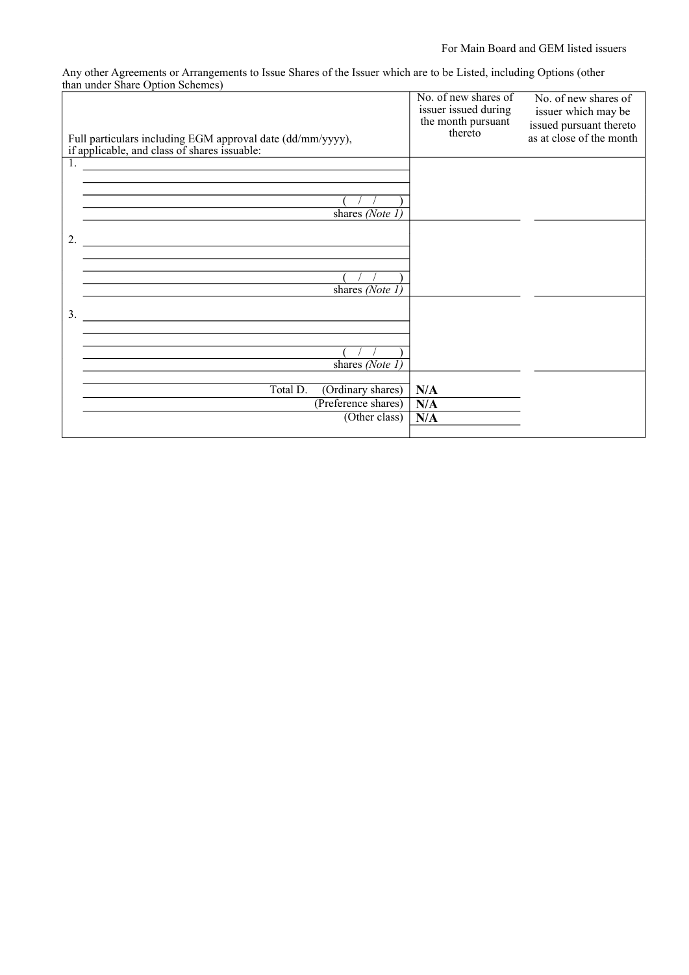| Full particulars including EGM approval date (dd/mm/yyyy),<br>if applicable, and class of shares issuable:                  | No. of new shares of<br>issuer issued during<br>the month pursuant<br>thereto | No. of new shares of<br>issuer which may be<br>issued pursuant thereto<br>as at close of the month |
|-----------------------------------------------------------------------------------------------------------------------------|-------------------------------------------------------------------------------|----------------------------------------------------------------------------------------------------|
| 1.<br><u> 1980 - Jan Samuel Barbara, martin a shekara 1980 - An tsara 1980 - An tsara 1980 - An tsara 1980 - An tsara 1</u> |                                                                               |                                                                                                    |
|                                                                                                                             |                                                                               |                                                                                                    |
| shares (Note 1)                                                                                                             |                                                                               |                                                                                                    |
| 2.                                                                                                                          |                                                                               |                                                                                                    |
|                                                                                                                             |                                                                               |                                                                                                    |
|                                                                                                                             |                                                                               |                                                                                                    |
| shares (Note $1$ )                                                                                                          |                                                                               |                                                                                                    |
|                                                                                                                             |                                                                               |                                                                                                    |
| 3.                                                                                                                          |                                                                               |                                                                                                    |
|                                                                                                                             |                                                                               |                                                                                                    |
|                                                                                                                             |                                                                               |                                                                                                    |
|                                                                                                                             |                                                                               |                                                                                                    |
| shares $(Note 1)$                                                                                                           |                                                                               |                                                                                                    |
| Total D.<br>(Ordinary shares)                                                                                               | N/A                                                                           |                                                                                                    |
| (Preference shares)                                                                                                         | N/A                                                                           |                                                                                                    |
| $\overline{\text{(Other class)}}$                                                                                           | N/A                                                                           |                                                                                                    |
|                                                                                                                             |                                                                               |                                                                                                    |

Any other Agreements or Arrangements to Issue Shares of the Issuer which are to be Listed, including Options (other than under Share Option Schemes)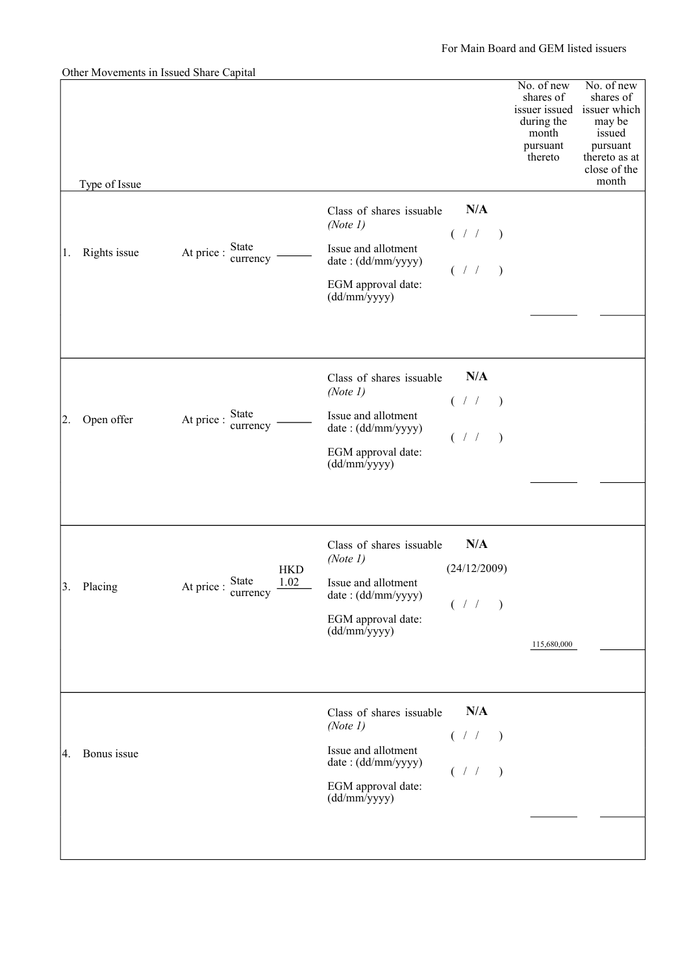|    |               | Other Movements in Issued Share Capital            |                                             |              |                                                                                        |                                                                                                                   |
|----|---------------|----------------------------------------------------|---------------------------------------------|--------------|----------------------------------------------------------------------------------------|-------------------------------------------------------------------------------------------------------------------|
|    | Type of Issue |                                                    |                                             |              | No. of new<br>shares of<br>issuer issued<br>during the<br>month<br>pursuant<br>thereto | No. of new<br>shares of<br>issuer which<br>may be<br>issued<br>pursuant<br>thereto as at<br>close of the<br>month |
|    |               |                                                    | Class of shares issuable                    | N/A          |                                                                                        |                                                                                                                   |
|    |               |                                                    | (Note 1)                                    |              |                                                                                        |                                                                                                                   |
| 1. | Rights issue  | State<br>At price :                                | Issue and allotment                         | ( / / )      |                                                                                        |                                                                                                                   |
|    |               | currency                                           | date: (dd/mm/yyyy)                          | (11)         |                                                                                        |                                                                                                                   |
|    |               |                                                    | EGM approval date:<br>(dd/mm/yyyy)          |              |                                                                                        |                                                                                                                   |
|    |               |                                                    |                                             |              |                                                                                        |                                                                                                                   |
|    |               |                                                    |                                             |              |                                                                                        |                                                                                                                   |
|    |               |                                                    | Class of shares issuable                    | N/A          |                                                                                        |                                                                                                                   |
|    |               |                                                    | (Note 1)                                    |              |                                                                                        |                                                                                                                   |
| 2. | Open offer    | At price : State                                   | Issue and allotment                         | ( / / )      |                                                                                        |                                                                                                                   |
|    |               | currency                                           | date: (dd/mm/yyyy)                          | (11)         |                                                                                        |                                                                                                                   |
|    |               |                                                    | EGM approval date:<br>(dd/mm/yyyy)          |              |                                                                                        |                                                                                                                   |
|    |               |                                                    |                                             |              |                                                                                        |                                                                                                                   |
|    |               |                                                    |                                             |              |                                                                                        |                                                                                                                   |
|    |               |                                                    | Class of shares issuable                    | N/A          |                                                                                        |                                                                                                                   |
|    |               |                                                    | (Note 1)                                    |              |                                                                                        |                                                                                                                   |
| 3. | Placing       | <b>HKD</b><br>At price : State<br>currency<br>1.02 | Issue and allotment                         | (24/12/2009) |                                                                                        |                                                                                                                   |
|    |               |                                                    | date: (dd/mm/yyyy)                          | ( / / )      |                                                                                        |                                                                                                                   |
|    |               |                                                    | EGM approval date:<br>(dd/mm/yyyy)          |              |                                                                                        |                                                                                                                   |
|    |               |                                                    |                                             |              | 115,680,000                                                                            |                                                                                                                   |
|    |               |                                                    |                                             |              |                                                                                        |                                                                                                                   |
|    |               |                                                    | Class of shares issuable                    | N/A          |                                                                                        |                                                                                                                   |
|    |               |                                                    | (Note 1)                                    |              |                                                                                        |                                                                                                                   |
| 4. | Bonus issue   |                                                    | Issue and allotment                         | ( / / )      |                                                                                        |                                                                                                                   |
|    |               |                                                    | date: (dd/mm/yyyy)                          | ( 1 1        |                                                                                        |                                                                                                                   |
|    |               |                                                    | EGM approval date:<br>$(dd/\text{mm/yyyy})$ |              |                                                                                        |                                                                                                                   |
|    |               |                                                    |                                             |              |                                                                                        |                                                                                                                   |
|    |               |                                                    |                                             |              |                                                                                        |                                                                                                                   |
|    |               |                                                    |                                             |              |                                                                                        |                                                                                                                   |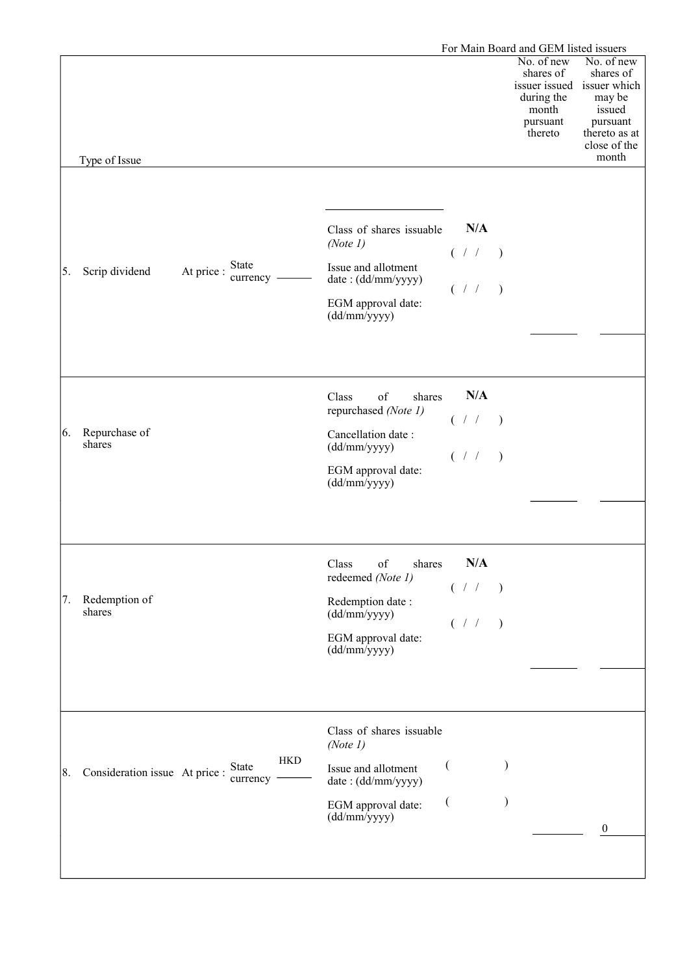|    |                                |                                          |                                                                                                                                  |                                  | For Main Board and GEM listed issuers                                 |                                                                                                                                 |
|----|--------------------------------|------------------------------------------|----------------------------------------------------------------------------------------------------------------------------------|----------------------------------|-----------------------------------------------------------------------|---------------------------------------------------------------------------------------------------------------------------------|
|    | Type of Issue                  |                                          |                                                                                                                                  |                                  | No. of new<br>shares of<br>during the<br>month<br>pursuant<br>thereto | No. of new<br>shares of<br>issuer issued issuer which<br>may be<br>issued<br>pursuant<br>thereto as at<br>close of the<br>month |
|    |                                |                                          |                                                                                                                                  |                                  |                                                                       |                                                                                                                                 |
| 5. | Scrip dividend                 | <b>State</b><br>At price :<br>currency - | Class of shares issuable<br>(Note 1)<br>Issue and allotment<br>date: (dd/mm/yyyy)<br>EGM approval date:<br>(dd/mm/yyyy)          | N/A<br>( / / )<br>(11)           |                                                                       |                                                                                                                                 |
| 6. | Repurchase of<br>shares        |                                          | of<br>Class<br>shares<br>repurchased (Note 1)<br>Cancellation date:<br>(dd/mm/yyyy)<br>EGM approval date:<br>(dd/mm/yyyy)        | N/A<br>( / / )<br>( / / )        |                                                                       |                                                                                                                                 |
| 7. | Redemption of<br>shares        |                                          | Class of<br>shares<br>redeemed (Note 1)<br>Redemption date:<br>(dd/mm/yyyy)<br>EGM approval date:<br>(dd/mm/yyyy)                | N/A<br>( / / )<br>$($ / $/$ )    |                                                                       |                                                                                                                                 |
| 8. | Consideration issue At price : | <b>HKD</b><br>State<br>currency          | Class of shares issuable<br>(Note 1)<br>Issue and allotment<br>date: (dd/mm/yyyy)<br>EGM approval date:<br>$(dd/\text{mm/yyyy})$ | $\overline{(}$<br>$\overline{(}$ |                                                                       | $\mathbf{0}$                                                                                                                    |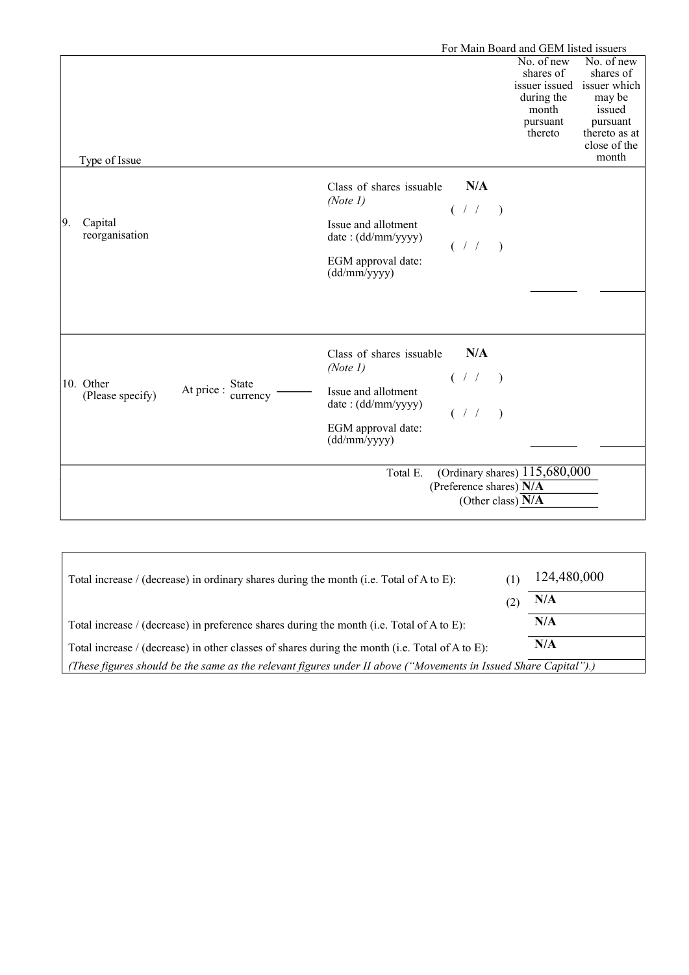|    |                               | For Main Board and GEM listed issuers |                                                                                                                         |                           |                                                                       |                                                                                                                                 |
|----|-------------------------------|---------------------------------------|-------------------------------------------------------------------------------------------------------------------------|---------------------------|-----------------------------------------------------------------------|---------------------------------------------------------------------------------------------------------------------------------|
|    | Type of Issue                 |                                       |                                                                                                                         |                           | No. of new<br>shares of<br>during the<br>month<br>pursuant<br>thereto | No. of new<br>shares of<br>issuer issued issuer which<br>may be<br>issued<br>pursuant<br>thereto as at<br>close of the<br>month |
| 9. | Capital<br>reorganisation     |                                       | Class of shares issuable<br>(Note 1)<br>Issue and allotment<br>date: (dd/mm/yyyy)<br>EGM approval date:<br>(dd/mm/yyyy) | N/A<br>( 7 / 7 )<br>(1/2) |                                                                       |                                                                                                                                 |
|    | 10. Other<br>(Please specify) | State<br>At price :<br>currency       | Class of shares issuable<br>(Note 1)<br>Issue and allotment<br>date: (dd/mm/yyyy)<br>EGM approval date:<br>(dd/mm/yyyy) | N/A<br>( / / )<br>( / / ) |                                                                       |                                                                                                                                 |
|    |                               |                                       | Total E.                                                                                                                | (Preference shares) N/A   | (Ordinary shares) $115,680,000$<br>(Other class) N/A                  |                                                                                                                                 |

| Total increase / (decrease) in ordinary shares during the month (i.e. Total of A to E):                          |  | 124,480,000 |  |
|------------------------------------------------------------------------------------------------------------------|--|-------------|--|
|                                                                                                                  |  | N/A         |  |
| Total increase / (decrease) in preference shares during the month (i.e. Total of A to E):                        |  | N/A         |  |
| Total increase / (decrease) in other classes of shares during the month (i.e. Total of A to E):                  |  | N/A         |  |
| (These figures should be the same as the relevant figures under II above ("Movements in Issued Share Capital").) |  |             |  |